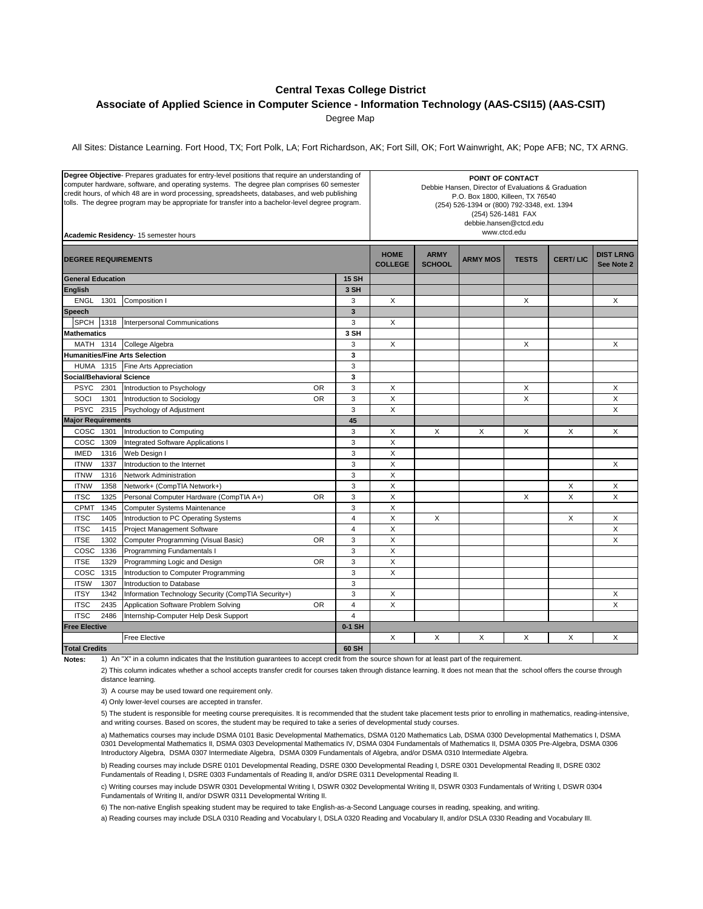## **Central Texas College District**

**Associate of Applied Science in Computer Science - Information Technology (AAS-CSI15) (AAS-CSIT)**

Degree Map

All Sites: Distance Learning. Fort Hood, TX; Fort Polk, LA; Fort Richardson, AK; Fort Sill, OK; Fort Wainwright, AK; Pope AFB; NC, TX ARNG.

| Degree Objective-Prepares graduates for entry-level positions that require an understanding of<br>computer hardware, software, and operating systems. The degree plan comprises 60 semester<br>credit hours, of which 48 are in word processing, spreadsheets, databases, and web publishing<br>tolls. The degree program may be appropriate for transfer into a bachelor-level degree program.<br>Academic Residency- 15 semester hours |      |                                                     |           |                         | POINT OF CONTACT<br>Debbie Hansen, Director of Evaluations & Graduation<br>P.O. Box 1800, Killeen, TX 76540<br>(254) 526-1394 or (800) 792-3348, ext. 1394<br>(254) 526-1481 FAX<br>debbie.hansen@ctcd.edu<br>www.ctcd.edu |                              |                 |              |                 |                                |
|------------------------------------------------------------------------------------------------------------------------------------------------------------------------------------------------------------------------------------------------------------------------------------------------------------------------------------------------------------------------------------------------------------------------------------------|------|-----------------------------------------------------|-----------|-------------------------|----------------------------------------------------------------------------------------------------------------------------------------------------------------------------------------------------------------------------|------------------------------|-----------------|--------------|-----------------|--------------------------------|
| <b>DEGREE REQUIREMENTS</b>                                                                                                                                                                                                                                                                                                                                                                                                               |      |                                                     |           |                         | <b>HOME</b><br><b>COLLEGE</b>                                                                                                                                                                                              | <b>ARMY</b><br><b>SCHOOL</b> | <b>ARMY MOS</b> | <b>TESTS</b> | <b>CERT/LIC</b> | <b>DIST LRNG</b><br>See Note 2 |
| <b>General Education</b>                                                                                                                                                                                                                                                                                                                                                                                                                 |      |                                                     |           |                         |                                                                                                                                                                                                                            |                              |                 |              |                 |                                |
| <b>English</b>                                                                                                                                                                                                                                                                                                                                                                                                                           |      |                                                     |           |                         |                                                                                                                                                                                                                            |                              |                 |              |                 |                                |
| <b>ENGL</b>                                                                                                                                                                                                                                                                                                                                                                                                                              | 1301 | Composition I                                       |           | 3                       | X                                                                                                                                                                                                                          |                              |                 | X            |                 | X                              |
| Speech                                                                                                                                                                                                                                                                                                                                                                                                                                   |      |                                                     |           | $\overline{\mathbf{3}}$ |                                                                                                                                                                                                                            |                              |                 |              |                 |                                |
| <b>SPCH</b>                                                                                                                                                                                                                                                                                                                                                                                                                              | 1318 | Interpersonal Communications                        |           | 3                       | X                                                                                                                                                                                                                          |                              |                 |              |                 |                                |
| <b>Mathematics</b>                                                                                                                                                                                                                                                                                                                                                                                                                       |      |                                                     |           | 3 SH                    |                                                                                                                                                                                                                            |                              |                 |              |                 |                                |
| MATH 1314                                                                                                                                                                                                                                                                                                                                                                                                                                |      | College Algebra                                     |           | 3                       | X                                                                                                                                                                                                                          |                              |                 | X            |                 | X                              |
| <b>Humanities/Fine Arts Selection</b>                                                                                                                                                                                                                                                                                                                                                                                                    |      |                                                     | 3         |                         |                                                                                                                                                                                                                            |                              |                 |              |                 |                                |
| <b>HUMA 1315</b>                                                                                                                                                                                                                                                                                                                                                                                                                         |      | Fine Arts Appreciation                              |           | 3                       |                                                                                                                                                                                                                            |                              |                 |              |                 |                                |
| <b>Social/Behavioral Science</b>                                                                                                                                                                                                                                                                                                                                                                                                         |      |                                                     |           | 3                       |                                                                                                                                                                                                                            |                              |                 |              |                 |                                |
| PSYC 2301                                                                                                                                                                                                                                                                                                                                                                                                                                |      | Introduction to Psychology                          | <b>OR</b> | 3                       | X                                                                                                                                                                                                                          |                              |                 | X            |                 | Χ                              |
| SOCI                                                                                                                                                                                                                                                                                                                                                                                                                                     | 1301 | Introduction to Sociology                           | <b>OR</b> | 3                       | X                                                                                                                                                                                                                          |                              |                 | X            |                 | X                              |
| <b>PSYC</b>                                                                                                                                                                                                                                                                                                                                                                                                                              | 2315 | Psychology of Adjustment                            |           | 3                       | X                                                                                                                                                                                                                          |                              |                 |              |                 | X                              |
| <b>Major Requirements</b>                                                                                                                                                                                                                                                                                                                                                                                                                |      |                                                     | 45        |                         |                                                                                                                                                                                                                            |                              |                 |              |                 |                                |
| COSC 1301                                                                                                                                                                                                                                                                                                                                                                                                                                |      | Introduction to Computing                           |           | 3                       | X                                                                                                                                                                                                                          | X                            | X               | X            | X               | X                              |
| COSC 1309                                                                                                                                                                                                                                                                                                                                                                                                                                |      | Integrated Software Applications I                  |           | 3                       | X                                                                                                                                                                                                                          |                              |                 |              |                 |                                |
| <b>IMED</b>                                                                                                                                                                                                                                                                                                                                                                                                                              | 1316 | Web Design I                                        |           | 3                       | $\overline{\mathsf{x}}$                                                                                                                                                                                                    |                              |                 |              |                 |                                |
| <b>ITNW</b>                                                                                                                                                                                                                                                                                                                                                                                                                              | 1337 | Introduction to the Internet                        |           | 3                       | X                                                                                                                                                                                                                          |                              |                 |              |                 | X                              |
| <b>ITNW</b>                                                                                                                                                                                                                                                                                                                                                                                                                              | 1316 | <b>Network Administration</b>                       |           | 3                       | X                                                                                                                                                                                                                          |                              |                 |              |                 |                                |
| <b>ITNW</b>                                                                                                                                                                                                                                                                                                                                                                                                                              | 1358 | Network+ (CompTIA Network+)                         |           | 3                       | X                                                                                                                                                                                                                          |                              |                 |              | X               | X                              |
| <b>ITSC</b>                                                                                                                                                                                                                                                                                                                                                                                                                              | 1325 | Personal Computer Hardware (CompTIA A+)             | <b>OR</b> | 3                       | X                                                                                                                                                                                                                          |                              |                 | X            | X               | X                              |
| <b>CPMT</b>                                                                                                                                                                                                                                                                                                                                                                                                                              | 1345 | <b>Computer Systems Maintenance</b>                 |           | 3                       | X                                                                                                                                                                                                                          |                              |                 |              |                 |                                |
| <b>ITSC</b>                                                                                                                                                                                                                                                                                                                                                                                                                              | 1405 | Introduction to PC Operating Systems                |           | $\overline{4}$          | X                                                                                                                                                                                                                          | X                            |                 |              | X               | X                              |
| <b>ITSC</b>                                                                                                                                                                                                                                                                                                                                                                                                                              | 1415 | Project Management Software                         |           | $\overline{4}$          | X                                                                                                                                                                                                                          |                              |                 |              |                 | X                              |
| <b>ITSE</b>                                                                                                                                                                                                                                                                                                                                                                                                                              | 1302 | Computer Programming (Visual Basic)                 | <b>OR</b> | 3                       | X                                                                                                                                                                                                                          |                              |                 |              |                 | X                              |
| COSC                                                                                                                                                                                                                                                                                                                                                                                                                                     | 1336 | Programming Fundamentals I                          |           | 3                       | X                                                                                                                                                                                                                          |                              |                 |              |                 |                                |
| <b>ITSE</b>                                                                                                                                                                                                                                                                                                                                                                                                                              | 1329 | Programming Logic and Design                        | <b>OR</b> | 3                       | X                                                                                                                                                                                                                          |                              |                 |              |                 |                                |
| COSC                                                                                                                                                                                                                                                                                                                                                                                                                                     | 1315 | Introduction to Computer Programming                |           | 3                       | X                                                                                                                                                                                                                          |                              |                 |              |                 |                                |
| <b>ITSW</b>                                                                                                                                                                                                                                                                                                                                                                                                                              | 1307 | Introduction to Database                            |           | 3                       |                                                                                                                                                                                                                            |                              |                 |              |                 |                                |
| <b>ITSY</b>                                                                                                                                                                                                                                                                                                                                                                                                                              | 1342 | Information Technology Security (CompTIA Security+) |           | 3                       | X                                                                                                                                                                                                                          |                              |                 |              |                 | X                              |
| <b>ITSC</b>                                                                                                                                                                                                                                                                                                                                                                                                                              | 2435 | Application Software Problem Solving                | <b>OR</b> | $\overline{4}$          | X                                                                                                                                                                                                                          |                              |                 |              |                 | X                              |
| <b>ITSC</b>                                                                                                                                                                                                                                                                                                                                                                                                                              | 2486 | Internship-Computer Help Desk Support               |           | $\overline{\mathbf{4}}$ |                                                                                                                                                                                                                            |                              |                 |              |                 |                                |
| <b>Free Elective</b>                                                                                                                                                                                                                                                                                                                                                                                                                     |      |                                                     |           | 0-1 SH                  |                                                                                                                                                                                                                            |                              |                 |              |                 |                                |
|                                                                                                                                                                                                                                                                                                                                                                                                                                          |      | <b>Free Elective</b>                                |           |                         | X                                                                                                                                                                                                                          | X                            | X               | X            | X               | Χ                              |
| <b>Total Credits</b>                                                                                                                                                                                                                                                                                                                                                                                                                     |      |                                                     |           | 60 SH                   |                                                                                                                                                                                                                            |                              |                 |              |                 |                                |

**Notes:** 1) An "X" in a column indicates that the Institution guarantees to accept credit from the source shown for at least part of the requirement.

2) This column indicates whether a school accepts transfer credit for courses taken through distance learning. It does not mean that the school offers the course through distance learning.

3) A course may be used toward one requirement only.

4) Only lower-level courses are accepted in transfer.

5) The student is responsible for meeting course prerequisites. It is recommended that the student take placement tests prior to enrolling in mathematics, reading-intensive, and writing courses. Based on scores, the student may be required to take a series of developmental study courses.

a) Mathematics courses may include DSMA 0101 Basic Developmental Mathematics, DSMA 0120 Mathematics Lab, DSMA 0300 Developmental Mathematics I, DSMA 0301 Developmental Mathematics II, DSMA 0303 Developmental Mathematics IV, DSMA 0304 Fundamentals of Mathematics II, DSMA 0305 Pre-Algebra, DSMA 0306<br>Introductory Algebra, DSMA 0307 Intermediate Algebra, DSMA 0309 Fundam

b) Reading courses may include DSRE 0101 Developmental Reading, DSRE 0300 Developmental Reading I, DSRE 0301 Developmental Reading II, DSRE 0302 Fundamentals of Reading I, DSRE 0303 Fundamentals of Reading II, and/or DSRE 0311 Developmental Reading II.

c) Writing courses may include DSWR 0301 Developmental Writing I, DSWR 0302 Developmental Writing II, DSWR 0303 Fundamentals of Writing I, DSWR 0304 Fundamentals of Writing II, and/or DSWR 0311 Developmental Writing II.

6) The non-native English speaking student may be required to take English-as-a-Second Language courses in reading, speaking, and writing.

a) Reading courses may include DSLA 0310 Reading and Vocabulary I, DSLA 0320 Reading and Vocabulary II, and/or DSLA 0330 Reading and Vocabulary III.